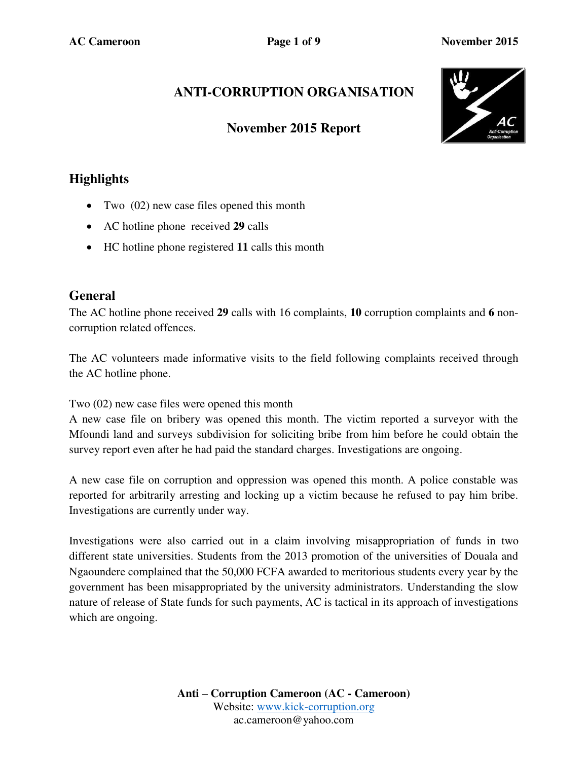# **ANTI-CORRUPTION ORGANISATION**

## **November 2015 Report**



# **Highlights**

- Two  $(02)$  new case files opened this month
- AC hotline phone received **29** calls
- HC hotline phone registered **11** calls this month

### **General**

The AC hotline phone received **29** calls with 16 complaints, **10** corruption complaints and **6** noncorruption related offences.

The AC volunteers made informative visits to the field following complaints received through the AC hotline phone.

Two (02) new case files were opened this month

A new case file on bribery was opened this month. The victim reported a surveyor with the Mfoundi land and surveys subdivision for soliciting bribe from him before he could obtain the survey report even after he had paid the standard charges. Investigations are ongoing.

A new case file on corruption and oppression was opened this month. A police constable was reported for arbitrarily arresting and locking up a victim because he refused to pay him bribe. Investigations are currently under way.

Investigations were also carried out in a claim involving misappropriation of funds in two different state universities. Students from the 2013 promotion of the universities of Douala and Ngaoundere complained that the 50,000 FCFA awarded to meritorious students every year by the government has been misappropriated by the university administrators. Understanding the slow nature of release of State funds for such payments, AC is tactical in its approach of investigations which are ongoing.

> **Anti – Corruption Cameroon (AC - Cameroon)** Website: [www.kick-corruption.org](http://www.kick-corruption.org/) ac.cameroon@yahoo.com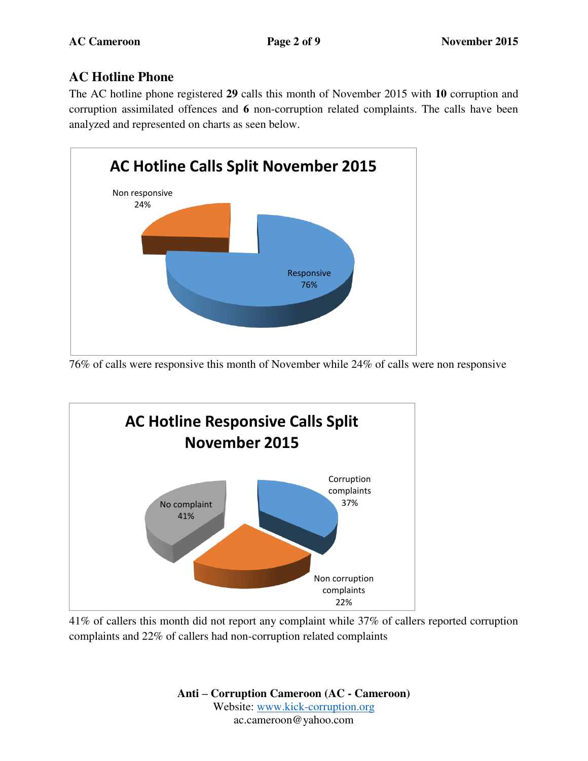# **AC Hotline Phone**

The AC hotline phone registered **29** calls this month of November 2015 with **10** corruption and corruption assimilated offences and **6** non-corruption related complaints. The calls have been analyzed and represented on charts as seen below.



76% of calls were responsive this month of November while 24% of calls were non responsive



41% of callers this month did not report any complaint while 37% of callers reported corruption complaints and 22% of callers had non-corruption related complaints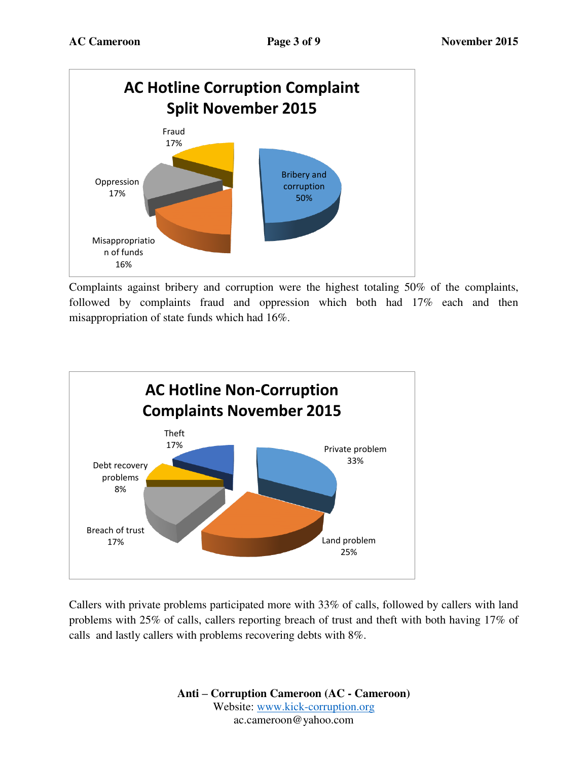

Complaints against bribery and corruption were the highest totaling 50% of the complaints, followed by complaints fraud and oppression which both had 17% each and then misappropriation of state funds which had 16%.



Callers with private problems participated more with 33% of calls, followed by callers with land problems with 25% of calls, callers reporting breach of trust and theft with both having 17% of calls and lastly callers with problems recovering debts with 8%.

> **Anti – Corruption Cameroon (AC - Cameroon)** Website: [www.kick-corruption.org](http://www.kick-corruption.org/) ac.cameroon@yahoo.com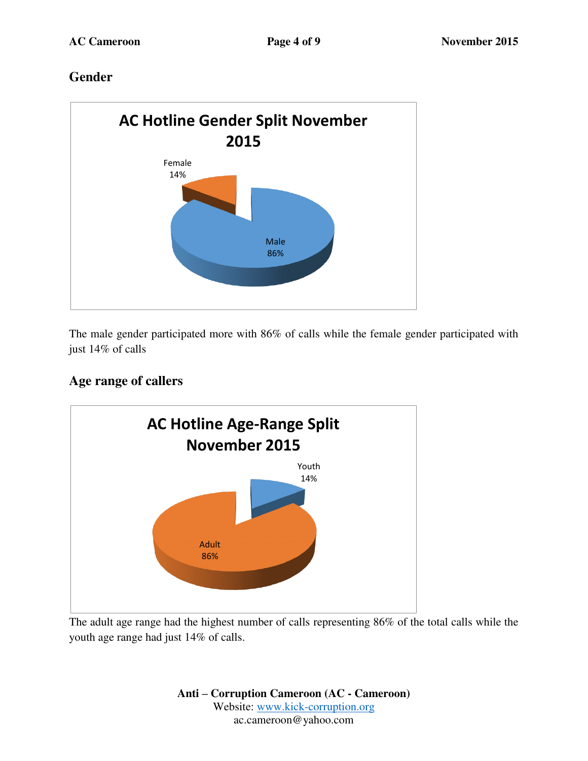# **Gender**



The male gender participated more with 86% of calls while the female gender participated with just 14% of calls

# **Age range of callers**



The adult age range had the highest number of calls representing 86% of the total calls while the youth age range had just 14% of calls.

> **Anti – Corruption Cameroon (AC - Cameroon)** Website: [www.kick-corruption.org](http://www.kick-corruption.org/) ac.cameroon@yahoo.com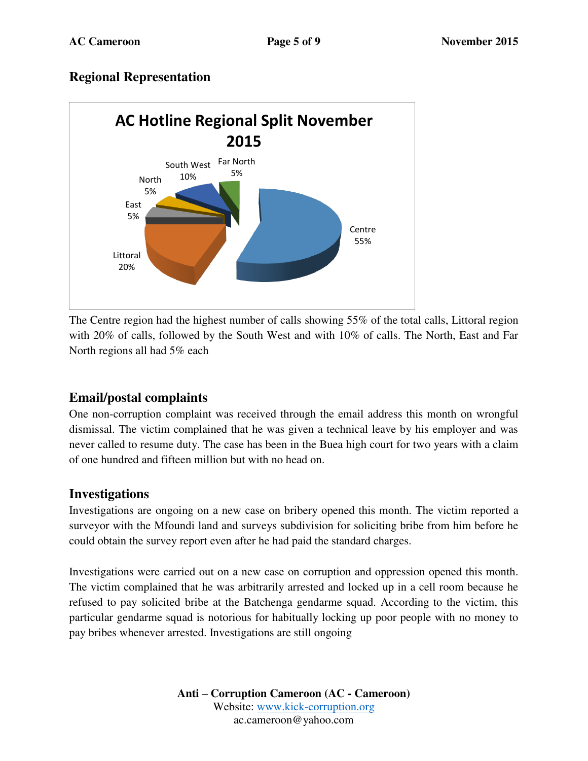### **Regional Representation**



The Centre region had the highest number of calls showing 55% of the total calls, Littoral region with 20% of calls, followed by the South West and with 10% of calls. The North, East and Far North regions all had 5% each

# **Email/postal complaints**

One non-corruption complaint was received through the email address this month on wrongful dismissal. The victim complained that he was given a technical leave by his employer and was never called to resume duty. The case has been in the Buea high court for two years with a claim of one hundred and fifteen million but with no head on.

#### **Investigations**

Investigations are ongoing on a new case on bribery opened this month. The victim reported a surveyor with the Mfoundi land and surveys subdivision for soliciting bribe from him before he could obtain the survey report even after he had paid the standard charges.

Investigations were carried out on a new case on corruption and oppression opened this month. The victim complained that he was arbitrarily arrested and locked up in a cell room because he refused to pay solicited bribe at the Batchenga gendarme squad. According to the victim, this particular gendarme squad is notorious for habitually locking up poor people with no money to pay bribes whenever arrested. Investigations are still ongoing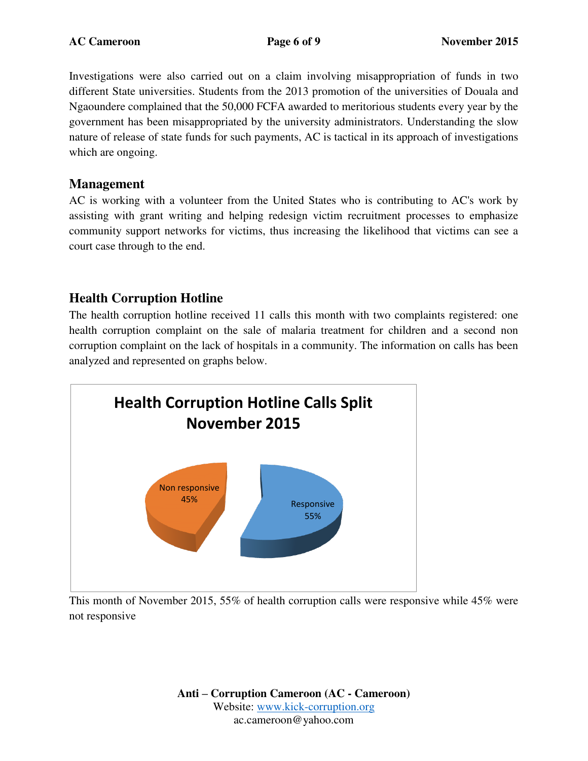Investigations were also carried out on a claim involving misappropriation of funds in two different State universities. Students from the 2013 promotion of the universities of Douala and Ngaoundere complained that the 50,000 FCFA awarded to meritorious students every year by the government has been misappropriated by the university administrators. Understanding the slow nature of release of state funds for such payments, AC is tactical in its approach of investigations which are ongoing.

### **Management**

AC is working with a volunteer from the United States who is contributing to AC's work by assisting with grant writing and helping redesign victim recruitment processes to emphasize community support networks for victims, thus increasing the likelihood that victims can see a court case through to the end.

### **Health Corruption Hotline**

The health corruption hotline received 11 calls this month with two complaints registered: one health corruption complaint on the sale of malaria treatment for children and a second non corruption complaint on the lack of hospitals in a community. The information on calls has been analyzed and represented on graphs below.



This month of November 2015, 55% of health corruption calls were responsive while 45% were not responsive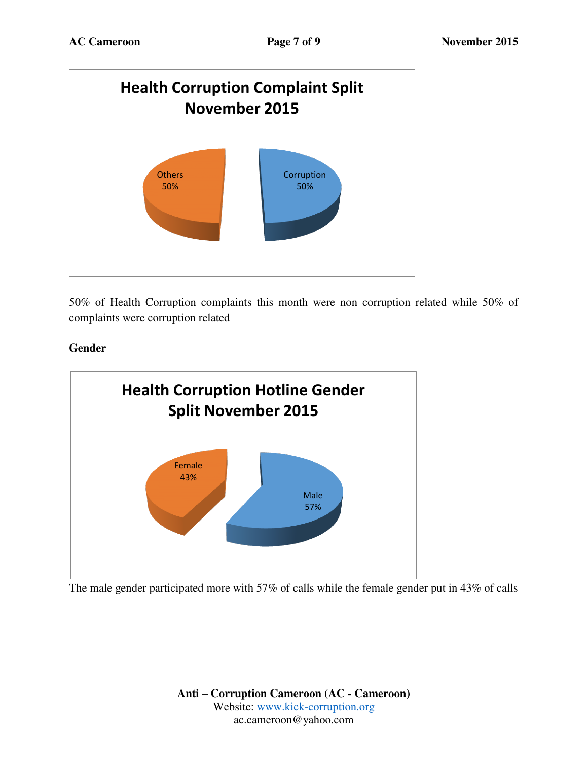

50% of Health Corruption complaints this month were non corruption related while 50% of complaints were corruption related

#### **Gender**



The male gender participated more with 57% of calls while the female gender put in 43% of calls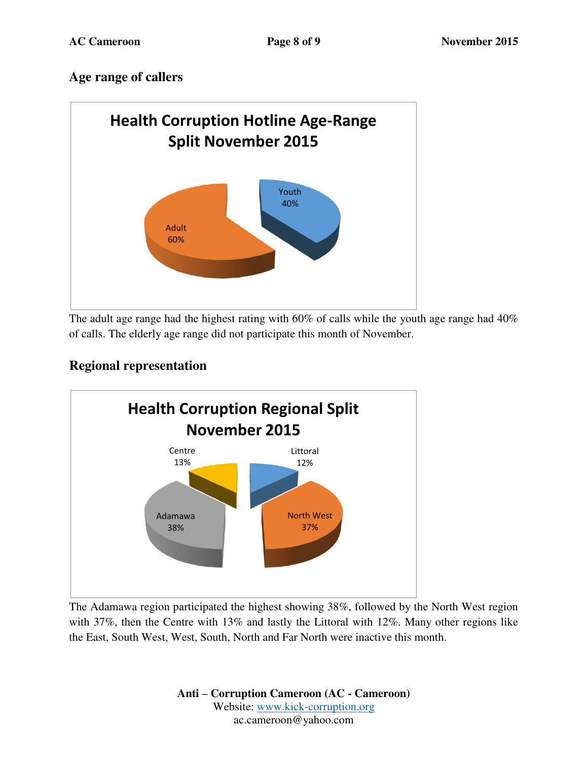# **Age range of callers**



The adult age range had the highest rating with 60% of calls while the youth age range had 40% of calls. The elderly age range did not participate this month of November.

# **Regional representation**



The Adamawa region participated the highest showing 38%, followed by the North West region with 37%, then the Centre with 13% and lastly the Littoral with 12%. Many other regions like the East, South West, West, South, North and Far North were inactive this month.